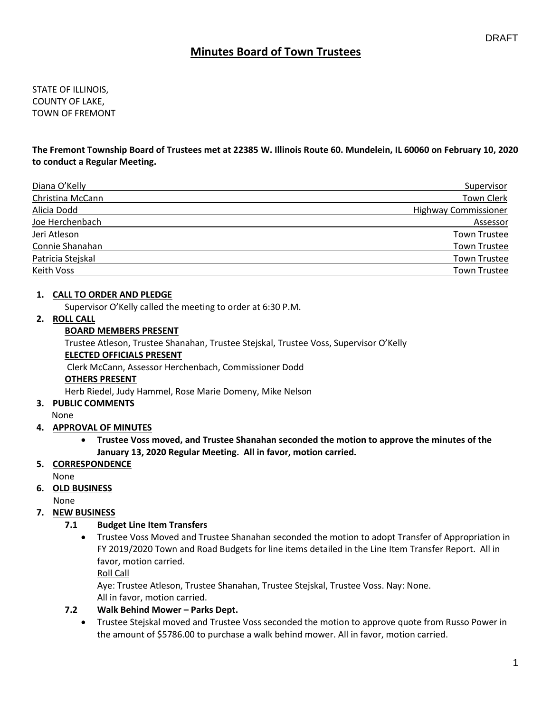# **Minutes Board of Town Trustees**

STATE OF ILLINOIS, COUNTY OF LAKE, TOWN OF FREMONT

**The Fremont Township Board of Trustees met at 22385 W. Illinois Route 60. Mundelein, IL 60060 on February 10, 2020 to conduct a Regular Meeting.**

| Diana O'Kelly     | Supervisor                  |
|-------------------|-----------------------------|
| Christina McCann  | <b>Town Clerk</b>           |
| Alicia Dodd       | <b>Highway Commissioner</b> |
| Joe Herchenbach   | Assessor                    |
| Jeri Atleson      | <b>Town Trustee</b>         |
| Connie Shanahan   | <b>Town Trustee</b>         |
| Patricia Stejskal | <b>Town Trustee</b>         |
| Keith Voss        | <b>Town Trustee</b>         |

### **1. CALL TO ORDER AND PLEDGE**

Supervisor O'Kelly called the meeting to order at 6:30 P.M.

### **2. ROLL CALL**

### **BOARD MEMBERS PRESENT**

Trustee Atleson, Trustee Shanahan, Trustee Stejskal, Trustee Voss, Supervisor O'Kelly

### **ELECTED OFFICIALS PRESENT**

Clerk McCann, Assessor Herchenbach, Commissioner Dodd

### **OTHERS PRESENT**

Herb Riedel, Judy Hammel, Rose Marie Domeny, Mike Nelson

### **3. PUBLIC COMMENTS**

None

### **4. APPROVAL OF MINUTES**

• **Trustee Voss moved, and Trustee Shanahan seconded the motion to approve the minutes of the January 13, 2020 Regular Meeting. All in favor, motion carried.** 

### **5. CORRESPONDENCE**

None

# **6. OLD BUSINESS**

None

### **7. NEW BUSINESS**

### **7.1 Budget Line Item Transfers**

• Trustee Voss Moved and Trustee Shanahan seconded the motion to adopt Transfer of Appropriation in FY 2019/2020 Town and Road Budgets for line items detailed in the Line Item Transfer Report. All in favor, motion carried.

Roll Call

Aye: Trustee Atleson, Trustee Shanahan, Trustee Stejskal, Trustee Voss. Nay: None. All in favor, motion carried.

### **7.2 Walk Behind Mower – Parks Dept.**

• Trustee Stejskal moved and Trustee Voss seconded the motion to approve quote from Russo Power in the amount of \$5786.00 to purchase a walk behind mower. All in favor, motion carried.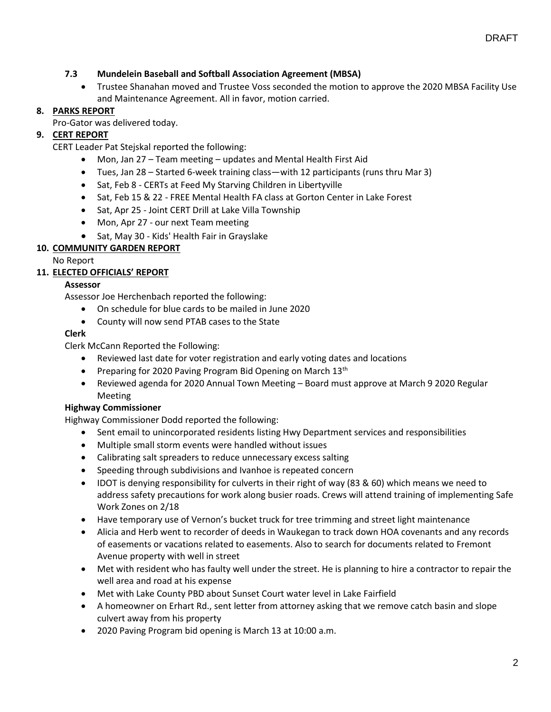## **7.3 Mundelein Baseball and Softball Association Agreement (MBSA)**

• Trustee Shanahan moved and Trustee Voss seconded the motion to approve the 2020 MBSA Facility Use and Maintenance Agreement. All in favor, motion carried.

## **8. PARKS REPORT**

Pro-Gator was delivered today.

## **9. CERT REPORT**

CERT Leader Pat Stejskal reported the following:

- Mon, Jan 27 Team meeting updates and Mental Health First Aid
- Tues, Jan 28 Started 6-week training class—with 12 participants (runs thru Mar 3)
- Sat, Feb 8 CERTs at Feed My Starving Children in Libertyville
- Sat, Feb 15 & 22 FREE Mental Health FA class at Gorton Center in Lake Forest
- Sat, Apr 25 Joint CERT Drill at Lake Villa Township
- Mon, Apr 27 our next Team meeting
- Sat, May 30 Kids' Health Fair in Grayslake

## **10. COMMUNITY GARDEN REPORT**

No Report

## **11. ELECTED OFFICIALS' REPORT**

### **Assessor**

Assessor Joe Herchenbach reported the following:

- On schedule for blue cards to be mailed in June 2020
- County will now send PTAB cases to the State

## **Clerk**

Clerk McCann Reported the Following:

- Reviewed last date for voter registration and early voting dates and locations
- Preparing for 2020 Paving Program Bid Opening on March  $13<sup>th</sup>$
- Reviewed agenda for 2020 Annual Town Meeting Board must approve at March 9 2020 Regular Meeting

### **Highway Commissioner**

Highway Commissioner Dodd reported the following:

- Sent email to unincorporated residents listing Hwy Department services and responsibilities
- Multiple small storm events were handled without issues
- Calibrating salt spreaders to reduce unnecessary excess salting
- Speeding through subdivisions and Ivanhoe is repeated concern
- IDOT is denying responsibility for culverts in their right of way (83 & 60) which means we need to address safety precautions for work along busier roads. Crews will attend training of implementing Safe Work Zones on 2/18
- Have temporary use of Vernon's bucket truck for tree trimming and street light maintenance
- Alicia and Herb went to recorder of deeds in Waukegan to track down HOA covenants and any records of easements or vacations related to easements. Also to search for documents related to Fremont Avenue property with well in street
- Met with resident who has faulty well under the street. He is planning to hire a contractor to repair the well area and road at his expense
- Met with Lake County PBD about Sunset Court water level in Lake Fairfield
- A homeowner on Erhart Rd., sent letter from attorney asking that we remove catch basin and slope culvert away from his property
- 2020 Paving Program bid opening is March 13 at 10:00 a.m.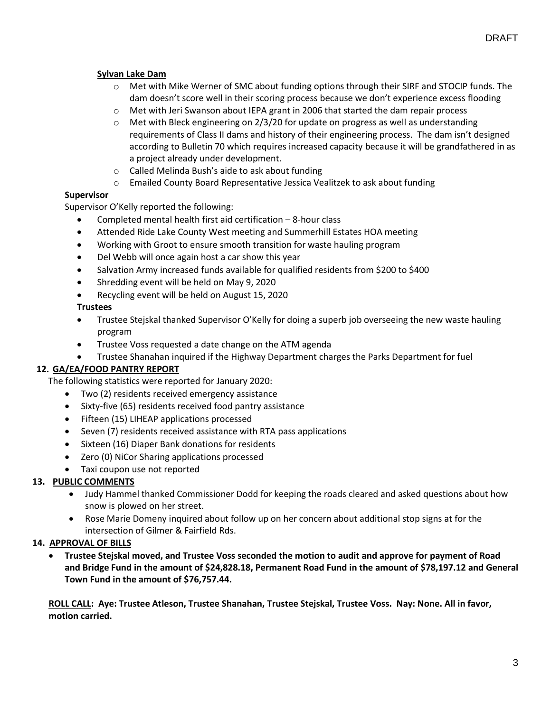## **Sylvan Lake Dam**

- o Met with Mike Werner of SMC about funding options through their SIRF and STOCIP funds. The dam doesn't score well in their scoring process because we don't experience excess flooding
- $\circ$  Met with Jeri Swanson about IEPA grant in 2006 that started the dam repair process
- $\circ$  Met with Bleck engineering on 2/3/20 for update on progress as well as understanding requirements of Class II dams and history of their engineering process. The dam isn't designed according to Bulletin 70 which requires increased capacity because it will be grandfathered in as a project already under development.
- o Called Melinda Bush's aide to ask about funding
- o Emailed County Board Representative Jessica Vealitzek to ask about funding

### **Supervisor**

Supervisor O'Kelly reported the following:

- Completed mental health first aid certification 8-hour class
- Attended Ride Lake County West meeting and Summerhill Estates HOA meeting
- Working with Groot to ensure smooth transition for waste hauling program
- Del Webb will once again host a car show this year
- Salvation Army increased funds available for qualified residents from \$200 to \$400
- Shredding event will be held on May 9, 2020
- Recycling event will be held on August 15, 2020

### **Trustees**

- Trustee Stejskal thanked Supervisor O'Kelly for doing a superb job overseeing the new waste hauling program
- Trustee Voss requested a date change on the ATM agenda
- Trustee Shanahan inquired if the Highway Department charges the Parks Department for fuel

### **12. GA/EA/FOOD PANTRY REPORT**

The following statistics were reported for January 2020:

- Two (2) residents received emergency assistance
- Sixty-five (65) residents received food pantry assistance
- Fifteen (15) LIHEAP applications processed
- Seven (7) residents received assistance with RTA pass applications
- Sixteen (16) Diaper Bank donations for residents
- Zero (0) NiCor Sharing applications processed
- Taxi coupon use not reported

### **13. PUBLIC COMMENTS**

- Judy Hammel thanked Commissioner Dodd for keeping the roads cleared and asked questions about how snow is plowed on her street.
- Rose Marie Domeny inquired about follow up on her concern about additional stop signs at for the intersection of Gilmer & Fairfield Rds.

### **14. APPROVAL OF BILLS**

• **Trustee Stejskal moved, and Trustee Voss seconded the motion to audit and approve for payment of Road and Bridge Fund in the amount of \$24,828.18, Permanent Road Fund in the amount of \$78,197.12 and General Town Fund in the amount of \$76,757.44.**

**ROLL CALL: Aye: Trustee Atleson, Trustee Shanahan, Trustee Stejskal, Trustee Voss. Nay: None. All in favor, motion carried.**